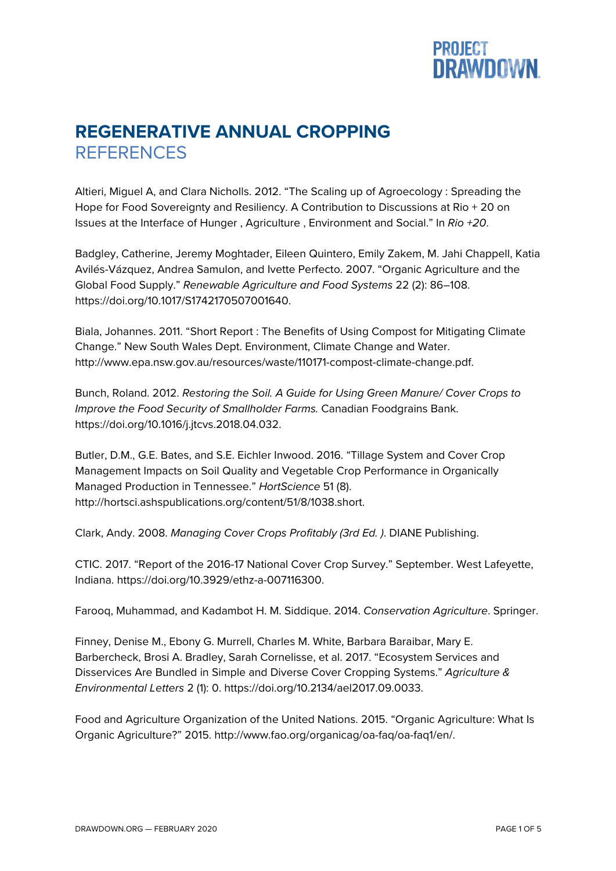

## **REGENERATIVE ANNUAL CROPPING REFERENCES**

Altieri, Miguel A, and Clara Nicholls. 2012. "The Scaling up of Agroecology : Spreading the Hope for Food Sovereignty and Resiliency. A Contribution to Discussions at Rio + 20 on Issues at the Interface of Hunger , Agriculture , Environment and Social." In *Rio +20*.

Badgley, Catherine, Jeremy Moghtader, Eileen Quintero, Emily Zakem, M. Jahi Chappell, Katia Avilés-Vázquez, Andrea Samulon, and Ivette Perfecto. 2007. "Organic Agriculture and the Global Food Supply." *Renewable Agriculture and Food Systems* 22 (2): 86–108. https://doi.org/10.1017/S1742170507001640.

Biala, Johannes. 2011. "Short Report : The Benefits of Using Compost for Mitigating Climate Change." New South Wales Dept. Environment, Climate Change and Water. http://www.epa.nsw.gov.au/resources/waste/110171-compost-climate-change.pdf.

Bunch, Roland. 2012. *Restoring the Soil. A Guide for Using Green Manure/ Cover Crops to Improve the Food Security of Smallholder Farms.* Canadian Foodgrains Bank. https://doi.org/10.1016/j.jtcvs.2018.04.032.

Butler, D.M., G.E. Bates, and S.E. Eichler Inwood. 2016. "Tillage System and Cover Crop Management Impacts on Soil Quality and Vegetable Crop Performance in Organically Managed Production in Tennessee." *HortScience* 51 (8). http://hortsci.ashspublications.org/content/51/8/1038.short.

Clark, Andy. 2008. *Managing Cover Crops Profitably (3rd Ed. )*. DIANE Publishing.

CTIC. 2017. "Report of the 2016-17 National Cover Crop Survey." September. West Lafeyette, Indiana. https://doi.org/10.3929/ethz-a-007116300.

Farooq, Muhammad, and Kadambot H. M. Siddique. 2014. *Conservation Agriculture*. Springer.

Finney, Denise M., Ebony G. Murrell, Charles M. White, Barbara Baraibar, Mary E. Barbercheck, Brosi A. Bradley, Sarah Cornelisse, et al. 2017. "Ecosystem Services and Disservices Are Bundled in Simple and Diverse Cover Cropping Systems." *Agriculture & Environmental Letters* 2 (1): 0. https://doi.org/10.2134/ael2017.09.0033.

Food and Agriculture Organization of the United Nations. 2015. "Organic Agriculture: What Is Organic Agriculture?" 2015. http://www.fao.org/organicag/oa-faq/oa-faq1/en/.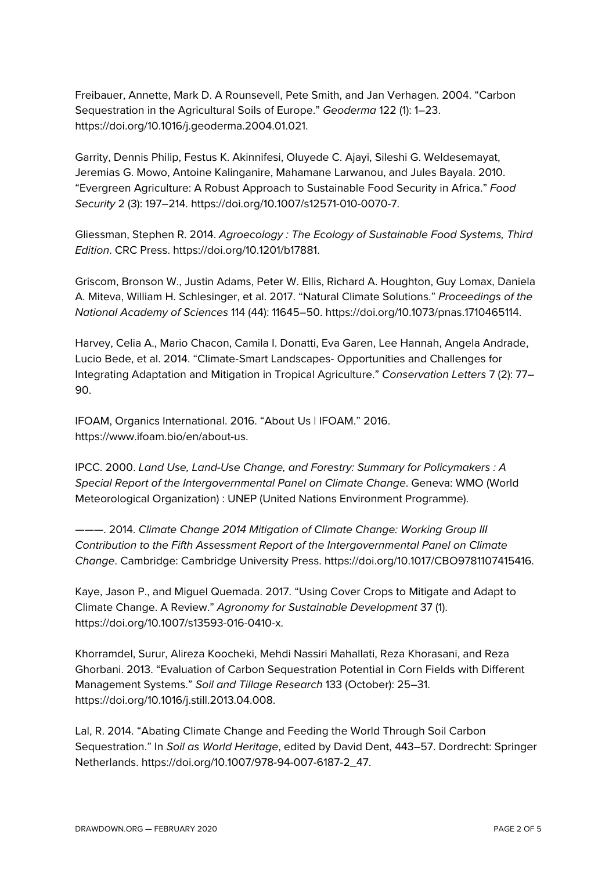Freibauer, Annette, Mark D. A Rounsevell, Pete Smith, and Jan Verhagen. 2004. "Carbon Sequestration in the Agricultural Soils of Europe." *Geoderma* 122 (1): 1–23. https://doi.org/10.1016/j.geoderma.2004.01.021.

Garrity, Dennis Philip, Festus K. Akinnifesi, Oluyede C. Ajayi, Sileshi G. Weldesemayat, Jeremias G. Mowo, Antoine Kalinganire, Mahamane Larwanou, and Jules Bayala. 2010. "Evergreen Agriculture: A Robust Approach to Sustainable Food Security in Africa." *Food Security* 2 (3): 197–214. https://doi.org/10.1007/s12571-010-0070-7.

Gliessman, Stephen R. 2014. *Agroecology : The Ecology of Sustainable Food Systems, Third Edition*. CRC Press. https://doi.org/10.1201/b17881.

Griscom, Bronson W., Justin Adams, Peter W. Ellis, Richard A. Houghton, Guy Lomax, Daniela A. Miteva, William H. Schlesinger, et al. 2017. "Natural Climate Solutions." *Proceedings of the National Academy of Sciences* 114 (44): 11645–50. https://doi.org/10.1073/pnas.1710465114.

Harvey, Celia A., Mario Chacon, Camila I. Donatti, Eva Garen, Lee Hannah, Angela Andrade, Lucio Bede, et al. 2014. "Climate-Smart Landscapes- Opportunities and Challenges for Integrating Adaptation and Mitigation in Tropical Agriculture." *Conservation Letters* 7 (2): 77– 90.

IFOAM, Organics International. 2016. "About Us | IFOAM." 2016. https://www.ifoam.bio/en/about-us.

IPCC. 2000. *Land Use, Land-Use Change, and Forestry: Summary for Policymakers : A Special Report of the Intergovernmental Panel on Climate Change*. Geneva: WMO (World Meteorological Organization) : UNEP (United Nations Environment Programme).

———. 2014. *Climate Change 2014 Mitigation of Climate Change: Working Group III Contribution to the Fifth Assessment Report of the Intergovernmental Panel on Climate Change*. Cambridge: Cambridge University Press. https://doi.org/10.1017/CBO9781107415416.

Kaye, Jason P., and Miguel Quemada. 2017. "Using Cover Crops to Mitigate and Adapt to Climate Change. A Review." *Agronomy for Sustainable Development* 37 (1). https://doi.org/10.1007/s13593-016-0410-x.

Khorramdel, Surur, Alireza Koocheki, Mehdi Nassiri Mahallati, Reza Khorasani, and Reza Ghorbani. 2013. "Evaluation of Carbon Sequestration Potential in Corn Fields with Different Management Systems." *Soil and Tillage Research* 133 (October): 25–31. https://doi.org/10.1016/j.still.2013.04.008.

Lal, R. 2014. "Abating Climate Change and Feeding the World Through Soil Carbon Sequestration." In *Soil as World Heritage*, edited by David Dent, 443–57. Dordrecht: Springer Netherlands. https://doi.org/10.1007/978-94-007-6187-2\_47.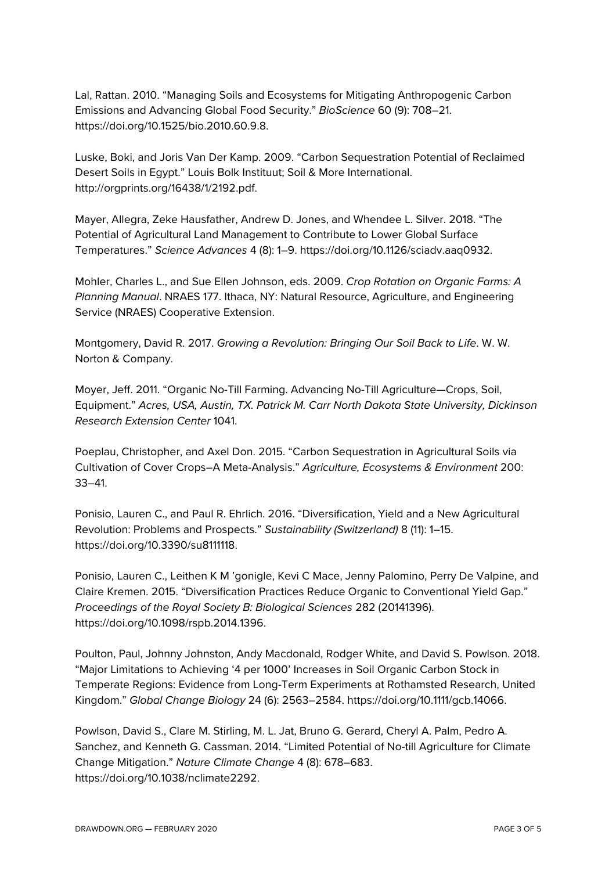Lal, Rattan. 2010. "Managing Soils and Ecosystems for Mitigating Anthropogenic Carbon Emissions and Advancing Global Food Security." *BioScience* 60 (9): 708–21. https://doi.org/10.1525/bio.2010.60.9.8.

Luske, Boki, and Joris Van Der Kamp. 2009. "Carbon Sequestration Potential of Reclaimed Desert Soils in Egypt." Louis Bolk Instituut; Soil & More International. http://orgprints.org/16438/1/2192.pdf.

Mayer, Allegra, Zeke Hausfather, Andrew D. Jones, and Whendee L. Silver. 2018. "The Potential of Agricultural Land Management to Contribute to Lower Global Surface Temperatures." *Science Advances* 4 (8): 1–9. https://doi.org/10.1126/sciadv.aaq0932.

Mohler, Charles L., and Sue Ellen Johnson, eds. 2009. *Crop Rotation on Organic Farms: A Planning Manual*. NRAES 177. Ithaca, NY: Natural Resource, Agriculture, and Engineering Service (NRAES) Cooperative Extension.

Montgomery, David R. 2017. *Growing a Revolution: Bringing Our Soil Back to Life*. W. W. Norton & Company.

Moyer, Jeff. 2011. "Organic No-Till Farming. Advancing No-Till Agriculture—Crops, Soil, Equipment." *Acres, USA, Austin, TX. Patrick M. Carr North Dakota State University, Dickinson Research Extension Center* 1041.

Poeplau, Christopher, and Axel Don. 2015. "Carbon Sequestration in Agricultural Soils via Cultivation of Cover Crops–A Meta-Analysis." *Agriculture, Ecosystems & Environment* 200: 33–41.

Ponisio, Lauren C., and Paul R. Ehrlich. 2016. "Diversification, Yield and a New Agricultural Revolution: Problems and Prospects." *Sustainability (Switzerland)* 8 (11): 1–15. https://doi.org/10.3390/su8111118.

Ponisio, Lauren C., Leithen K M 'gonigle, Kevi C Mace, Jenny Palomino, Perry De Valpine, and Claire Kremen. 2015. "Diversification Practices Reduce Organic to Conventional Yield Gap." *Proceedings of the Royal Society B: Biological Sciences* 282 (20141396). https://doi.org/10.1098/rspb.2014.1396.

Poulton, Paul, Johnny Johnston, Andy Macdonald, Rodger White, and David S. Powlson. 2018. "Major Limitations to Achieving '4 per 1000' Increases in Soil Organic Carbon Stock in Temperate Regions: Evidence from Long-Term Experiments at Rothamsted Research, United Kingdom." *Global Change Biology* 24 (6): 2563–2584. https://doi.org/10.1111/gcb.14066.

Powlson, David S., Clare M. Stirling, M. L. Jat, Bruno G. Gerard, Cheryl A. Palm, Pedro A. Sanchez, and Kenneth G. Cassman. 2014. "Limited Potential of No-till Agriculture for Climate Change Mitigation." *Nature Climate Change* 4 (8): 678–683. https://doi.org/10.1038/nclimate2292.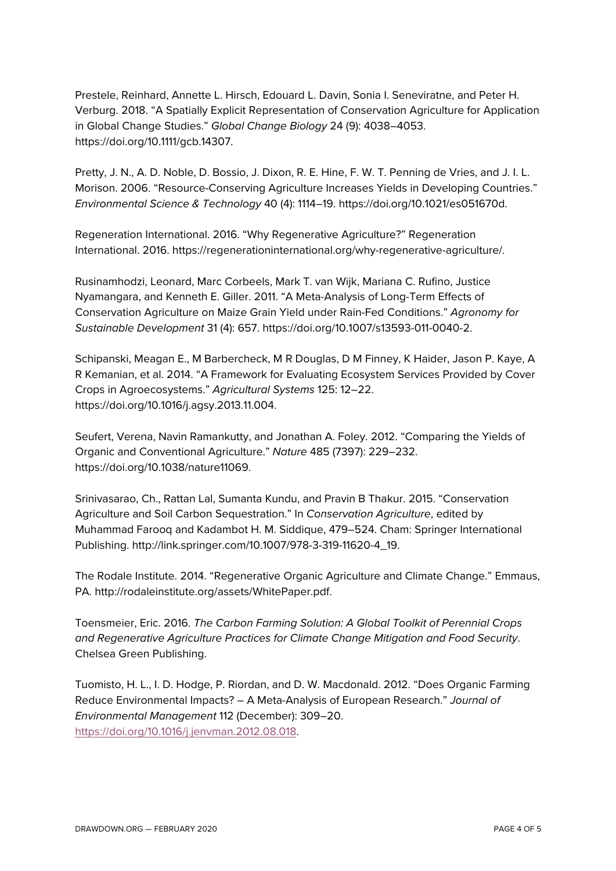Prestele, Reinhard, Annette L. Hirsch, Edouard L. Davin, Sonia I. Seneviratne, and Peter H. Verburg. 2018. "A Spatially Explicit Representation of Conservation Agriculture for Application in Global Change Studies." *Global Change Biology* 24 (9): 4038–4053. https://doi.org/10.1111/gcb.14307.

Pretty, J. N., A. D. Noble, D. Bossio, J. Dixon, R. E. Hine, F. W. T. Penning de Vries, and J. I. L. Morison. 2006. "Resource-Conserving Agriculture Increases Yields in Developing Countries." *Environmental Science & Technology* 40 (4): 1114–19. https://doi.org/10.1021/es051670d.

Regeneration International. 2016. "Why Regenerative Agriculture?" Regeneration International. 2016. https://regenerationinternational.org/why-regenerative-agriculture/.

Rusinamhodzi, Leonard, Marc Corbeels, Mark T. van Wijk, Mariana C. Rufino, Justice Nyamangara, and Kenneth E. Giller. 2011. "A Meta-Analysis of Long-Term Effects of Conservation Agriculture on Maize Grain Yield under Rain-Fed Conditions." *Agronomy for Sustainable Development* 31 (4): 657. https://doi.org/10.1007/s13593-011-0040-2.

Schipanski, Meagan E., M Barbercheck, M R Douglas, D M Finney, K Haider, Jason P. Kaye, A R Kemanian, et al. 2014. "A Framework for Evaluating Ecosystem Services Provided by Cover Crops in Agroecosystems." *Agricultural Systems* 125: 12–22. https://doi.org/10.1016/j.agsy.2013.11.004.

Seufert, Verena, Navin Ramankutty, and Jonathan A. Foley. 2012. "Comparing the Yields of Organic and Conventional Agriculture." *Nature* 485 (7397): 229–232. https://doi.org/10.1038/nature11069.

Srinivasarao, Ch., Rattan Lal, Sumanta Kundu, and Pravin B Thakur. 2015. "Conservation Agriculture and Soil Carbon Sequestration." In *Conservation Agriculture*, edited by Muhammad Farooq and Kadambot H. M. Siddique, 479–524. Cham: Springer International Publishing. http://link.springer.com/10.1007/978-3-319-11620-4\_19.

The Rodale Institute. 2014. "Regenerative Organic Agriculture and Climate Change." Emmaus, PA. http://rodaleinstitute.org/assets/WhitePaper.pdf.

Toensmeier, Eric. 2016. *The Carbon Farming Solution: A Global Toolkit of Perennial Crops and Regenerative Agriculture Practices for Climate Change Mitigation and Food Security*. Chelsea Green Publishing.

Tuomisto, H. L., I. D. Hodge, P. Riordan, and D. W. Macdonald. 2012. "Does Organic Farming Reduce Environmental Impacts? – A Meta-Analysis of European Research." *Journal of Environmental Management* 112 (December): 309–20. https://doi.org/10.1016/j.jenvman.2012.08.018.